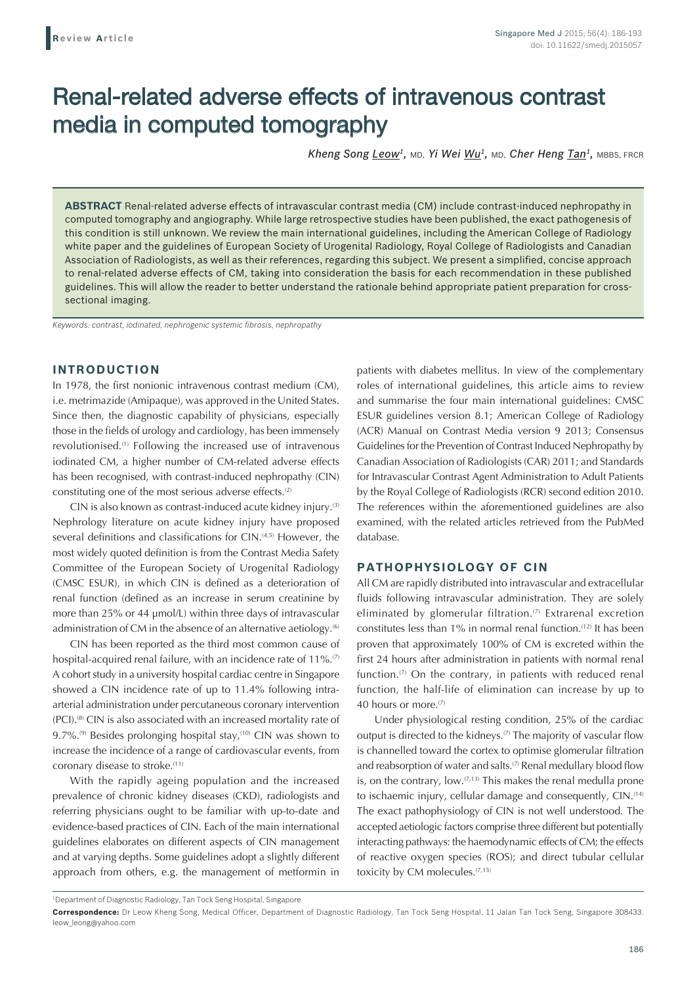# Renal-related adverse effects of intravenous contrast media in computed tomography

*Kheng Song Leow1,* MD, *Yi Wei Wu1,* MD, *Cher Heng Tan1,* MBBS, FRCR

**ABSTRACT** Renal-related adverse effects of intravascular contrast media (CM) include contrast-induced nephropathy in computed tomography and angiography. While large retrospective studies have been published, the exact pathogenesis of this condition is still unknown. We review the main international guidelines, including the American College of Radiology white paper and the guidelines of European Society of Urogenital Radiology, Royal College of Radiologists and Canadian Association of Radiologists, as well as their references, regarding this subject. We present a simplified, concise approach to renal-related adverse effects of CM, taking into consideration the basis for each recommendation in these published guidelines. This will allow the reader to better understand the rationale behind appropriate patient preparation for crosssectional imaging.

*Keywords: contrast, iodinated, nephrogenic systemic fibrosis, nephropathy*

# **INTRODUCTION**

In 1978, the first nonionic intravenous contrast medium (CM), i.e. metrimazide (Amipaque), was approved in the United States. Since then, the diagnostic capability of physicians, especially those in the fields of urology and cardiology, has been immensely revolutionised.<sup>(1)</sup> Following the increased use of intravenous iodinated CM, a higher number of CM-related adverse effects has been recognised, with contrast-induced nephropathy (CIN) constituting one of the most serious adverse effects.<sup>(2)</sup>

CIN is also known as contrast-induced acute kidney injury.<sup>(3)</sup> Nephrology literature on acute kidney injury have proposed several definitions and classifications for CIN.(4,5) However, the most widely quoted definition is from the Contrast Media Safety Committee of the European Society of Urogenital Radiology (CMSC ESUR), in which CIN is defined as a deterioration of renal function (defined as an increase in serum creatinine by more than 25% or 44 µmol/L) within three days of intravascular administration of CM in the absence of an alternative aetiology.<sup>(6)</sup>

CIN has been reported as the third most common cause of hospital-acquired renal failure, with an incidence rate of 11%.<sup>(7)</sup> A cohort study in a university hospital cardiac centre in Singapore showed a CIN incidence rate of up to 11.4% following intraarterial administration under percutaneous coronary intervention (PCI).<sup>(8)</sup> CIN is also associated with an increased mortality rate of 9.7%.<sup>(9)</sup> Besides prolonging hospital stay,<sup>(10)</sup> CIN was shown to increase the incidence of a range of cardiovascular events, from coronary disease to stroke.(11)

With the rapidly ageing population and the increased prevalence of chronic kidney diseases (CKD), radiologists and referring physicians ought to be familiar with up-to-date and evidence-based practices of CIN. Each of the main international guidelines elaborates on different aspects of CIN management and at varying depths. Some guidelines adopt a slightly different approach from others, e.g. the management of metformin in patients with diabetes mellitus. In view of the complementary roles of international guidelines, this article aims to review and summarise the four main international guidelines: CMSC ESUR guidelines version 8.1; American College of Radiology (ACR) Manual on Contrast Media version 9 2013; Consensus Guidelines for the Prevention of Contrast Induced Nephropathy by Canadian Association of Radiologists (CAR) 2011; and Standards for Intravascular Contrast Agent Administration to Adult Patients by the Royal College of Radiologists (RCR) second edition 2010. The references within the aforementioned guidelines are also examined, with the related articles retrieved from the PubMed database.

# **PATHOPHYSIOLOGY OF CIN**

All CM are rapidly distributed into intravascular and extracellular fluids following intravascular administration. They are solely eliminated by glomerular filtration.<sup>(7)</sup> Extrarenal excretion constitutes less than 1% in normal renal function.<sup>(12)</sup> It has been proven that approximately 100% of CM is excreted within the first 24 hours after administration in patients with normal renal function.<sup>(7)</sup> On the contrary, in patients with reduced renal function, the half-life of elimination can increase by up to 40 hours or more.<sup>(7)</sup>

Under physiological resting condition, 25% of the cardiac output is directed to the kidneys.<sup> $(7)$ </sup> The majority of vascular flow is channelled toward the cortex to optimise glomerular filtration and reabsorption of water and salts.<sup>(7)</sup> Renal medullary blood flow is, on the contrary,  $\text{low.}^{(7,13)}$  This makes the renal medulla prone to ischaemic injury, cellular damage and consequently, CIN.<sup>(14)</sup> The exact pathophysiology of CIN is not well understood. The accepted aetiologic factors comprise three different but potentially interacting pathways: the haemodynamic effects of CM; the effects of reactive oxygen species (ROS); and direct tubular cellular toxicity by CM molecules.<sup>(7,15)</sup>

<sup>1</sup> Department of Diagnostic Radiology, Tan Tock Seng Hospital, Singapore

**Correspondence:** Dr Leow Kheng Song, Medical Officer, Department of Diagnostic Radiology, Tan Tock Seng Hospital, 11 Jalan Tan Tock Seng, Singapore 308433. leow\_leong@yahoo.com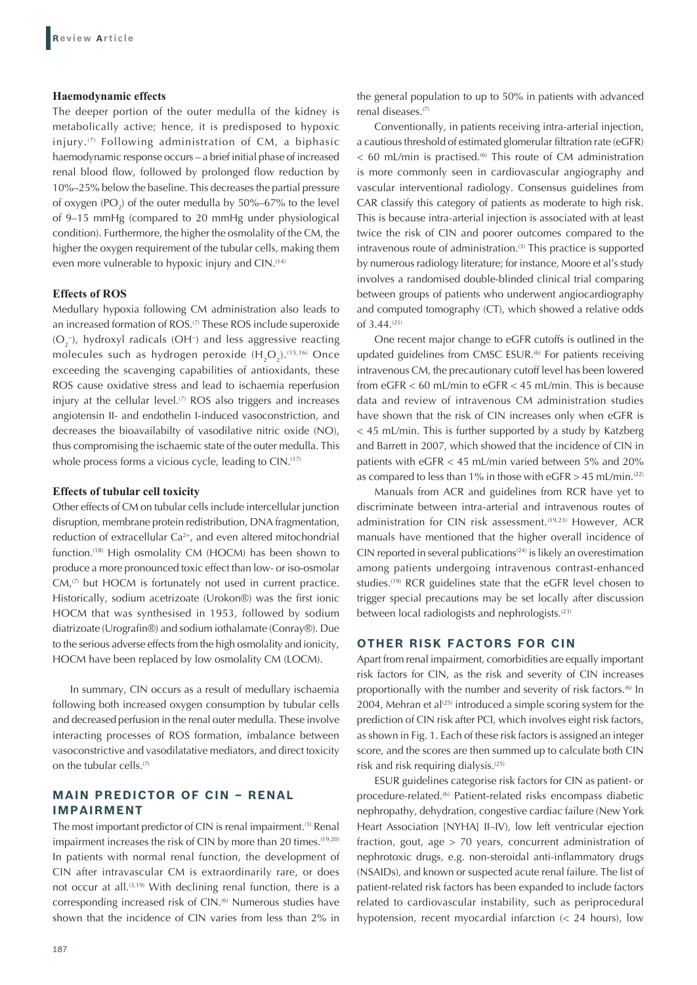## **Haemodynamic effects**

The deeper portion of the outer medulla of the kidney is metabolically active; hence, it is predisposed to hypoxic injury.(7) Following administration of CM, a biphasic haemodynamic response occurs – a brief initial phase of increased renal blood flow, followed by prolonged flow reduction by 10%–25% below the baseline. This decreases the partial pressure of oxygen  $(PO<sub>2</sub>)$  of the outer medulla by 50%–67% to the level of 9–15 mmHg (compared to 20 mmHg under physiological condition). Furthermore, the higher the osmolality of the CM, the higher the oxygen requirement of the tubular cells, making them even more vulnerable to hypoxic injury and CIN.<sup>(14)</sup>

# **Effects of ROS**

Medullary hypoxia following CM administration also leads to an increased formation of ROS.<sup>(7)</sup> These ROS include superoxide  $(O_2^-)$ , hydroxyl radicals (OH<sup>-</sup>) and less aggressive reacting molecules such as hydrogen peroxide  $(H_2O_2)$ .<sup>(15,16)</sup> Once exceeding the scavenging capabilities of antioxidants, these ROS cause oxidative stress and lead to ischaemia reperfusion injury at the cellular level. $(7)$  ROS also triggers and increases angiotensin II- and endothelin I-induced vasoconstriction, and decreases the bioavailabilty of vasodilative nitric oxide (NO), thus compromising the ischaemic state of the outer medulla. This whole process forms a vicious cycle, leading to CIN.<sup>(17)</sup>

## **Effects of tubular cell toxicity**

Other effects of CM on tubular cells include intercellular junction disruption, membrane protein redistribution, DNA fragmentation, reduction of extracellular Ca<sup>2+</sup>, and even altered mitochondrial function.(18) High osmolality CM (HOCM) has been shown to produce a more pronounced toxic effect than low- or iso-osmolar  $CM<sub>1</sub>$ <sup>(7)</sup> but HOCM is fortunately not used in current practice. Historically, sodium acetrizoate (Urokon®) was the first ionic HOCM that was synthesised in 1953, followed by sodium diatrizoate (Urografin®) and sodium iothalamate (Conray®). Due to the serious adverse effects from the high osmolality and ionicity, HOCM have been replaced by low osmolality CM (LOCM).

In summary, CIN occurs as a result of medullary ischaemia following both increased oxygen consumption by tubular cells and decreased perfusion in the renal outer medulla. These involve interacting processes of ROS formation, imbalance between vasoconstrictive and vasodilatative mediators, and direct toxicity on the tubular cells.<sup>(7)</sup>

# **MAIN PREDICTOR OF CIN – RENAL IMPAIRMENT**

The most important predictor of CIN is renal impairment.<sup>(3)</sup> Renal impairment increases the risk of CIN by more than 20 times.<sup>(19,20)</sup> In patients with normal renal function, the development of CIN after intravascular CM is extraordinarily rare, or does not occur at all.<sup>(3,19)</sup> With declining renal function, there is a corresponding increased risk of CIN.<sup>66</sup> Numerous studies have shown that the incidence of CIN varies from less than 2% in

the general population to up to 50% in patients with advanced renal diseases.(7)

Conventionally, in patients receiving intra-arterial injection, a cautious threshold of estimated glomerular filtration rate (eGFR)  $<$  60 mL/min is practised.<sup>66</sup> This route of CM administration is more commonly seen in cardiovascular angiography and vascular interventional radiology. Consensus guidelines from CAR classify this category of patients as moderate to high risk. This is because intra-arterial injection is associated with at least twice the risk of CIN and poorer outcomes compared to the intravenous route of administration.<sup>(3)</sup> This practice is supported by numerous radiology literature; for instance, Moore et al's study involves a randomised double-blinded clinical trial comparing between groups of patients who underwent angiocardiography and computed tomography (CT), which showed a relative odds of 3.44.(21)

One recent major change to eGFR cutoffs is outlined in the updated guidelines from CMSC ESUR.<sup>66</sup> For patients receiving intravenous CM, the precautionary cutoff level has been lowered from eGFR < 60 mL/min to eGFR < 45 mL/min. This is because data and review of intravenous CM administration studies have shown that the risk of CIN increases only when eGFR is < 45 mL/min. This is further supported by a study by Katzberg and Barrett in 2007, which showed that the incidence of CIN in patients with eGFR < 45 mL/min varied between 5% and 20% as compared to less than 1% in those with  $e$ GFR  $>$  45 mL/min.<sup>(22)</sup>

Manuals from ACR and guidelines from RCR have yet to discriminate between intra-arterial and intravenous routes of administration for CIN risk assessment.<sup>(19,23)</sup> However, ACR manuals have mentioned that the higher overall incidence of CIN reported in several publications $(24)$  is likely an overestimation among patients undergoing intravenous contrast-enhanced studies.<sup>(19)</sup> RCR guidelines state that the eGFR level chosen to trigger special precautions may be set locally after discussion between local radiologists and nephrologists.<sup>(23)</sup>

# **OTHER RISK FACTORS FOR CIN**

Apart from renal impairment, comorbidities are equally important risk factors for CIN, as the risk and severity of CIN increases proportionally with the number and severity of risk factors.<sup>66</sup> In 2004, Mehran et al<sup>(25)</sup> introduced a simple scoring system for the prediction of CIN risk after PCI, which involves eight risk factors, as shown in Fig. 1. Each of these risk factors is assigned an integer score, and the scores are then summed up to calculate both CIN risk and risk requiring dialysis.(25)

ESUR guidelines categorise risk factors for CIN as patient- or procedure-related.(6) Patient-related risks encompass diabetic nephropathy, dehydration, congestive cardiac failure (New York Heart Association [NYHA] II–IV), low left ventricular ejection fraction, gout, age > 70 years, concurrent administration of nephrotoxic drugs, e.g. non-steroidal anti-inflammatory drugs (NSAIDs), and known or suspected acute renal failure. The list of patient-related risk factors has been expanded to include factors related to cardiovascular instability, such as periprocedural hypotension, recent myocardial infarction (< 24 hours), low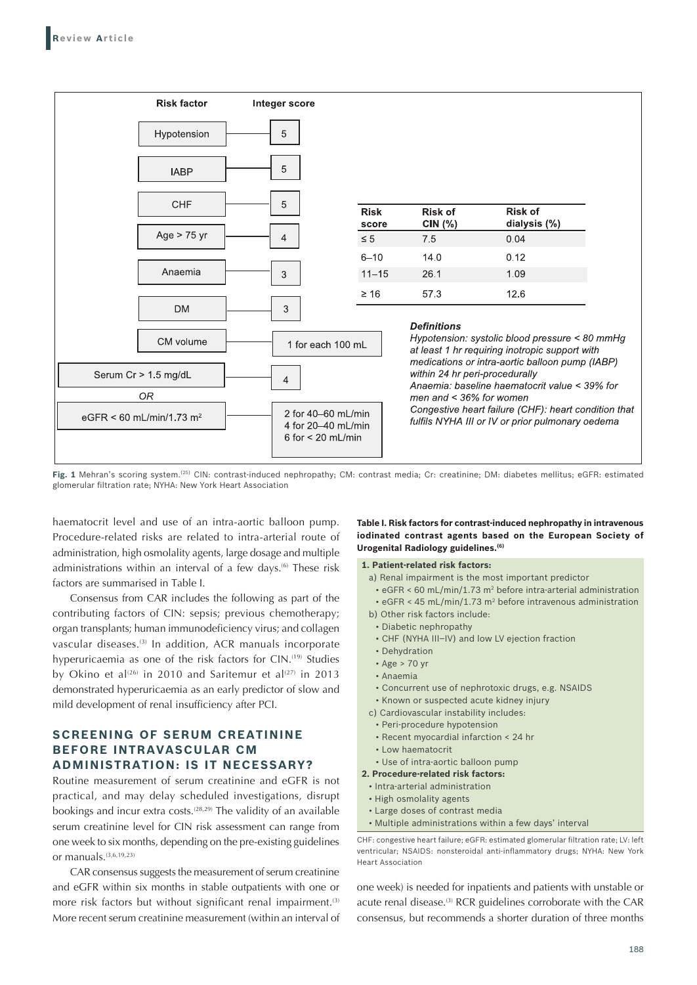

**Fig. 1** Mehran's scoring system.(25) CIN: contrast-induced nephropathy; CM: contrast media; Cr: creatinine; DM: diabetes mellitus; eGFR: estimated glomerular filtration rate; NYHA: New York Heart Association

haematocrit level and use of an intra-aortic balloon pump. Procedure-related risks are related to intra-arterial route of administration, high osmolality agents, large dosage and multiple administrations within an interval of a few days.<sup>66</sup> These risk factors are summarised in Table I.

Consensus from CAR includes the following as part of the contributing factors of CIN: sepsis; previous chemotherapy; organ transplants; human immunodeficiency virus; and collagen vascular diseases.<sup>(3)</sup> In addition, ACR manuals incorporate hyperuricaemia as one of the risk factors for CIN.<sup>(19)</sup> Studies by Okino et al<sup>(26)</sup> in 2010 and Saritemur et al<sup>(27)</sup> in 2013 demonstrated hyperuricaemia as an early predictor of slow and mild development of renal insufficiency after PCI.

# **SCREENING OF SERUM CREATININE BEFORE INTRAVASCULAR CM ADMINISTRATION: IS IT NECESSARY?**

Routine measurement of serum creatinine and eGFR is not practical, and may delay scheduled investigations, disrupt bookings and incur extra costs.<sup>(28,29)</sup> The validity of an available serum creatinine level for CIN risk assessment can range from one week to six months, depending on the pre-existing guidelines or manuals.(3,6,19,23)

CAR consensus suggests the measurement of serum creatinine and eGFR within six months in stable outpatients with one or more risk factors but without significant renal impairment.<sup>(3)</sup> More recent serum creatinine measurement (within an interval of

#### **Table I. Risk factors for contrast-induced nephropathy in intravenous iodinated contrast agents based on the European Society of Urogenital Radiology guidelines.(6)**

**1. Patient-related risk factors:**

- a) Renal impairment is the most important predictor
- eGFR < 60 mL/min/1.73 m2 before intra-arterial administration
- eGFR < 45 mL/min/1.73 m<sup>2</sup> before intravenous administration
- b) Other risk factors include:
	- Diabetic nephropathy
	- CHF (NYHA III–IV) and low LV ejection fraction
- Dehydration
- Age > 70 yr
- Anaemia
- Concurrent use of nephrotoxic drugs, e.g. NSAIDS
- Known or suspected acute kidney injury
- c) Cardiovascular instability includes:
- Peri‑procedure hypotension
- Recent myocardial infarction < 24 hr
- Low haematocrit
- Use of intra‑aortic balloon pump
- **2. Procedure-related risk factors:**
	- Intra-arterial administration
- High osmolality agents
- Large doses of contrast media
- Multiple administrations within a few days' interval

one week) is needed for inpatients and patients with unstable or acute renal disease.<sup>(3)</sup> RCR guidelines corroborate with the CAR consensus, but recommends a shorter duration of three months

CHF: congestive heart failure; eGFR: estimated glomerular filtration rate; LV: left ventricular; NSAIDS: nonsteroidal anti-inflammatory drugs; NYHA: New York Heart Association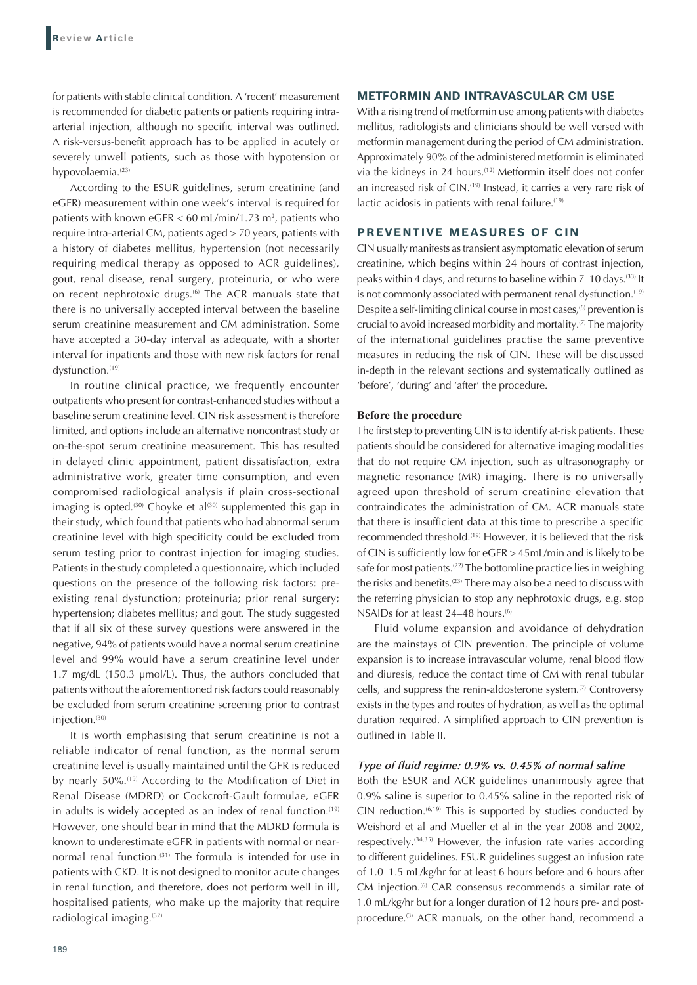for patients with stable clinical condition. A 'recent' measurement is recommended for diabetic patients or patients requiring intraarterial injection, although no specific interval was outlined. A risk-versus-benefit approach has to be applied in acutely or severely unwell patients, such as those with hypotension or hypovolaemia.<sup>(23)</sup>

According to the ESUR guidelines, serum creatinine (and eGFR) measurement within one week's interval is required for patients with known eGFR  $<$  60 mL/min/1.73 m<sup>2</sup>, patients who require intra-arterial CM, patients aged > 70 years, patients with a history of diabetes mellitus, hypertension (not necessarily requiring medical therapy as opposed to ACR guidelines), gout, renal disease, renal surgery, proteinuria, or who were on recent nephrotoxic drugs.<sup>(6)</sup> The ACR manuals state that there is no universally accepted interval between the baseline serum creatinine measurement and CM administration. Some have accepted a 30-day interval as adequate, with a shorter interval for inpatients and those with new risk factors for renal dysfunction.<sup>(19)</sup>

In routine clinical practice, we frequently encounter outpatients who present for contrast-enhanced studies without a baseline serum creatinine level. CIN risk assessment is therefore limited, and options include an alternative noncontrast study or on-the-spot serum creatinine measurement. This has resulted in delayed clinic appointment, patient dissatisfaction, extra administrative work, greater time consumption, and even compromised radiological analysis if plain cross-sectional imaging is opted.<sup>(30)</sup> Choyke et al<sup>(30)</sup> supplemented this gap in their study, which found that patients who had abnormal serum creatinine level with high specificity could be excluded from serum testing prior to contrast injection for imaging studies. Patients in the study completed a questionnaire, which included questions on the presence of the following risk factors: preexisting renal dysfunction; proteinuria; prior renal surgery; hypertension; diabetes mellitus; and gout. The study suggested that if all six of these survey questions were answered in the negative, 94% of patients would have a normal serum creatinine level and 99% would have a serum creatinine level under 1.7 mg/dL (150.3 µmol/L). Thus, the authors concluded that patients without the aforementioned risk factors could reasonably be excluded from serum creatinine screening prior to contrast injection.<sup>(30)</sup>

It is worth emphasising that serum creatinine is not a reliable indicator of renal function, as the normal serum creatinine level is usually maintained until the GFR is reduced by nearly 50%.<sup>(19)</sup> According to the Modification of Diet in Renal Disease (MDRD) or Cockcroft-Gault formulae, eGFR in adults is widely accepted as an index of renal function.<sup>(19)</sup> However, one should bear in mind that the MDRD formula is known to underestimate eGFR in patients with normal or nearnormal renal function.<sup>(31)</sup> The formula is intended for use in patients with CKD. It is not designed to monitor acute changes in renal function, and therefore, does not perform well in ill, hospitalised patients, who make up the majority that require radiological imaging.(32)

# **METFORMIN AND INTRAVASCULAR CM USE**

With a rising trend of metformin use among patients with diabetes mellitus, radiologists and clinicians should be well versed with metformin management during the period of CM administration. Approximately 90% of the administered metformin is eliminated via the kidneys in 24 hours.<sup>(12)</sup> Metformin itself does not confer an increased risk of CIN.<sup>(19)</sup> Instead, it carries a very rare risk of lactic acidosis in patients with renal failure.<sup>(19)</sup>

# **PREVENTIVE MEASURES OF CIN**

CIN usually manifests as transient asymptomatic elevation of serum creatinine, which begins within 24 hours of contrast injection, peaks within 4 days, and returns to baseline within 7–10 days.(33) It is not commonly associated with permanent renal dysfunction.<sup>(19)</sup> Despite a self-limiting clinical course in most cases,<sup>(6)</sup> prevention is crucial to avoid increased morbidity and mortality.<sup>(7)</sup> The majority of the international guidelines practise the same preventive measures in reducing the risk of CIN. These will be discussed in-depth in the relevant sections and systematically outlined as 'before', 'during' and 'after' the procedure.

#### **Before the procedure**

The first step to preventing CIN is to identify at-risk patients. These patients should be considered for alternative imaging modalities that do not require CM injection, such as ultrasonography or magnetic resonance (MR) imaging. There is no universally agreed upon threshold of serum creatinine elevation that contraindicates the administration of CM. ACR manuals state that there is insufficient data at this time to prescribe a specific recommended threshold.(19) However, it is believed that the risk of CIN is sufficiently low for eGFR > 45mL/min and is likely to be safe for most patients.<sup>(22)</sup> The bottomline practice lies in weighing the risks and benefits.<sup>(23)</sup> There may also be a need to discuss with the referring physician to stop any nephrotoxic drugs, e.g. stop NSAIDs for at least 24-48 hours.<sup>(6)</sup>

Fluid volume expansion and avoidance of dehydration are the mainstays of CIN prevention. The principle of volume expansion is to increase intravascular volume, renal blood flow and diuresis, reduce the contact time of CM with renal tubular cells, and suppress the renin-aldosterone system.<sup>(7)</sup> Controversy exists in the types and routes of hydration, as well as the optimal duration required. A simplified approach to CIN prevention is outlined in Table II.

## *Type of fluid regime: 0.9% vs. 0.45% of normal saline*

Both the ESUR and ACR guidelines unanimously agree that 0.9% saline is superior to 0.45% saline in the reported risk of CIN reduction.(6,19) This is supported by studies conducted by Weishord et al and Mueller et al in the year 2008 and 2002, respectively.<sup>(34,35)</sup> However, the infusion rate varies according to different guidelines. ESUR guidelines suggest an infusion rate of 1.0–1.5 mL/kg/hr for at least 6 hours before and 6 hours after CM injection.<sup>(6)</sup> CAR consensus recommends a similar rate of 1.0 mL/kg/hr but for a longer duration of 12 hours pre- and postprocedure.<sup>(3)</sup> ACR manuals, on the other hand, recommend a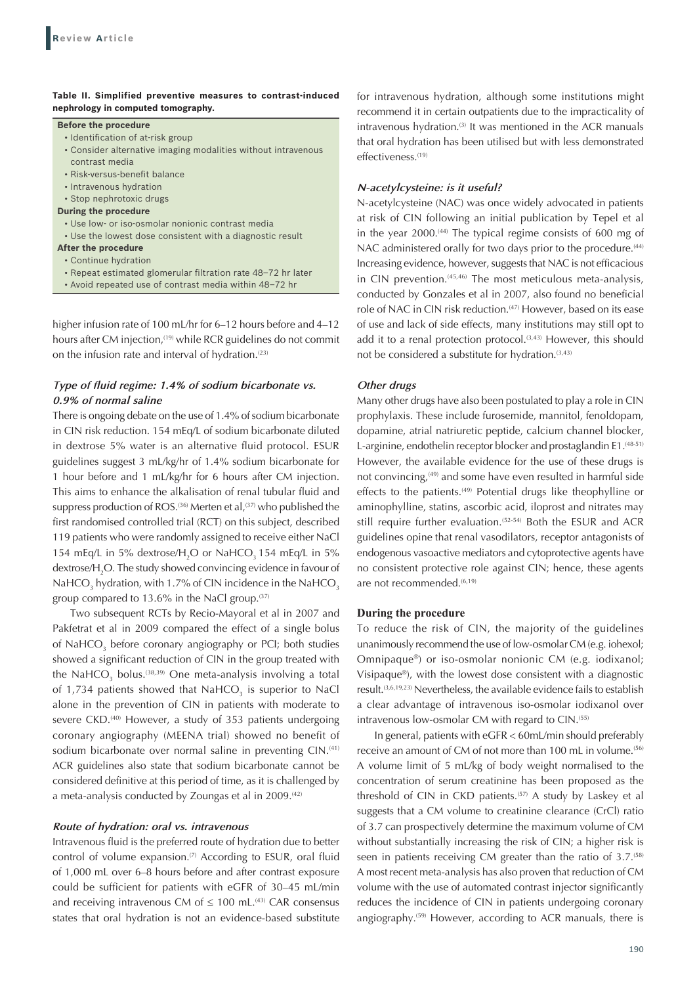## **Table II. Simplified preventive measures to contrast-induced nephrology in computed tomography.**

#### **Before the procedure**

- Identification of at-risk group
- Consider alternative imaging modalities without intravenous contrast media
- Risk‑versus‑benefit balance
- Intravenous hydration
- Stop nephrotoxic drugs

#### **During the procedure**

- Use low‑ or iso‑osmolar nonionic contrast media
- Use the lowest dose consistent with a diagnostic result

# **After the procedure**

- Continue hydration
- Repeat estimated glomerular filtration rate 48–72 hr later
- Avoid repeated use of contrast media within 48–72 hr

higher infusion rate of 100 mL/hr for 6–12 hours before and 4–12 hours after CM injection,<sup>(19)</sup> while RCR guidelines do not commit on the infusion rate and interval of hydration. $(23)$ 

# *Type of fluid regime: 1.4% of sodium bicarbonate vs. 0.9% of normal saline*

There is ongoing debate on the use of 1.4% of sodium bicarbonate in CIN risk reduction. 154 mEq/L of sodium bicarbonate diluted in dextrose 5% water is an alternative fluid protocol. ESUR guidelines suggest 3 mL/kg/hr of 1.4% sodium bicarbonate for 1 hour before and 1 mL/kg/hr for 6 hours after CM injection. This aims to enhance the alkalisation of renal tubular fluid and suppress production of ROS.<sup>(36)</sup> Merten et al,<sup>(37)</sup> who published the first randomised controlled trial (RCT) on this subject, described 119 patients who were randomly assigned to receive either NaCl 154 mEq/L in 5% dextrose/ $H_2O$  or NaHCO<sub>3</sub> 154 mEq/L in 5% dextrose/H<sub>2</sub>O. The study showed convincing evidence in favour of NaHCO<sub>3</sub> hydration, with 1.7% of CIN incidence in the NaHCO<sub>3</sub> group compared to 13.6% in the NaCl group. $(37)$ 

Two subsequent RCTs by Recio-Mayoral et al in 2007 and Pakfetrat et al in 2009 compared the effect of a single bolus of NaHCO<sub>3</sub> before coronary angiography or PCI; both studies showed a significant reduction of CIN in the group treated with the NaHCO<sub>3</sub> bolus.<sup>(38,39)</sup> One meta-analysis involving a total of 1,734 patients showed that  $NAHCO<sub>3</sub>$  is superior to NaCl alone in the prevention of CIN in patients with moderate to severe CKD.<sup>(40)</sup> However, a study of 353 patients undergoing coronary angiography (MEENA trial) showed no benefit of sodium bicarbonate over normal saline in preventing CIN.<sup>(41)</sup> ACR guidelines also state that sodium bicarbonate cannot be considered definitive at this period of time, as it is challenged by a meta-analysis conducted by Zoungas et al in 2009.<sup>(42)</sup>

#### *Route of hydration: oral vs. intravenous*

Intravenous fluid is the preferred route of hydration due to better control of volume expansion. $(7)$  According to ESUR, oral fluid of 1,000 mL over 6–8 hours before and after contrast exposure could be sufficient for patients with eGFR of 30–45 mL/min and receiving intravenous CM of  $\leq 100$  mL.<sup>(43)</sup> CAR consensus states that oral hydration is not an evidence-based substitute

for intravenous hydration, although some institutions might recommend it in certain outpatients due to the impracticality of intravenous hydration.<sup>(3)</sup> It was mentioned in the ACR manuals that oral hydration has been utilised but with less demonstrated effectiveness.<sup>(19)</sup>

## *N-acetylcysteine: is it useful?*

N-acetylcysteine (NAC) was once widely advocated in patients at risk of CIN following an initial publication by Tepel et al in the year 2000.<sup>(44)</sup> The typical regime consists of 600 mg of NAC administered orally for two days prior to the procedure.<sup>(44)</sup> Increasing evidence, however, suggests that NAC is not efficacious in CIN prevention.<sup>(45,46)</sup> The most meticulous meta-analysis, conducted by Gonzales et al in 2007, also found no beneficial role of NAC in CIN risk reduction.<sup>(47)</sup> However, based on its ease of use and lack of side effects, many institutions may still opt to add it to a renal protection protocol.<sup>(3,43)</sup> However, this should not be considered a substitute for hydration.<sup>(3,43)</sup>

#### *Other drugs*

Many other drugs have also been postulated to play a role in CIN prophylaxis. These include furosemide, mannitol, fenoldopam, dopamine, atrial natriuretic peptide, calcium channel blocker, L-arginine, endothelin receptor blocker and prostaglandin E1.<sup>(48-51)</sup> However, the available evidence for the use of these drugs is not convincing,<sup>(49)</sup> and some have even resulted in harmful side effects to the patients.<sup>(49)</sup> Potential drugs like theophylline or aminophylline, statins, ascorbic acid, iloprost and nitrates may still require further evaluation.<sup>(52-54)</sup> Both the ESUR and ACR guidelines opine that renal vasodilators, receptor antagonists of endogenous vasoactive mediators and cytoprotective agents have no consistent protective role against CIN; hence, these agents are not recommended.<sup>(6,19)</sup>

#### **During the procedure**

To reduce the risk of CIN, the majority of the guidelines unanimously recommend the use of low-osmolar CM (e.g. iohexol; Omnipaque®) or iso-osmolar nonionic CM (e.g. iodixanol; Visipaque®), with the lowest dose consistent with a diagnostic result.<sup>(3,6,19,23)</sup> Nevertheless, the available evidence fails to establish a clear advantage of intravenous iso-osmolar iodixanol over intravenous low-osmolar CM with regard to CIN.<sup>(55)</sup>

In general, patients with eGFR < 60mL/min should preferably receive an amount of CM of not more than 100 mL in volume.<sup>(56)</sup> A volume limit of 5 mL/kg of body weight normalised to the concentration of serum creatinine has been proposed as the threshold of CIN in CKD patients.<sup>(57)</sup> A study by Laskey et al suggests that a CM volume to creatinine clearance (CrCl) ratio of 3.7 can prospectively determine the maximum volume of CM without substantially increasing the risk of CIN; a higher risk is seen in patients receiving CM greater than the ratio of  $3.7^{(58)}$ A most recent meta-analysis has also proven that reduction of CM volume with the use of automated contrast injector significantly reduces the incidence of CIN in patients undergoing coronary angiography.<sup>(59)</sup> However, according to ACR manuals, there is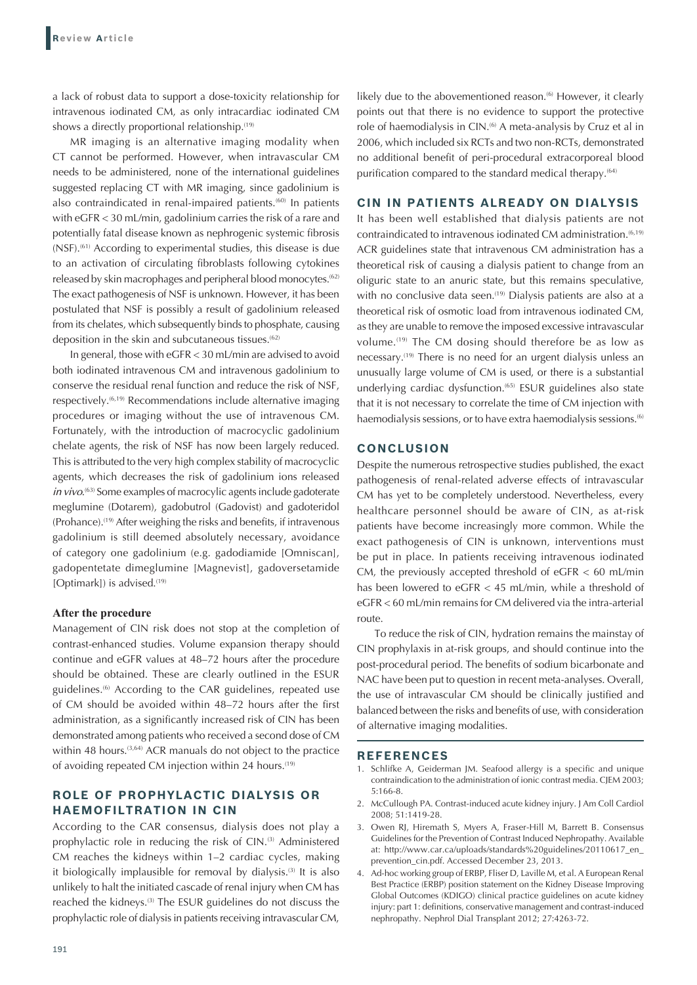a lack of robust data to support a dose-toxicity relationship for intravenous iodinated CM, as only intracardiac iodinated CM shows a directly proportional relationship.<sup>(19)</sup>

MR imaging is an alternative imaging modality when CT cannot be performed. However, when intravascular CM needs to be administered, none of the international guidelines suggested replacing CT with MR imaging, since gadolinium is also contraindicated in renal-impaired patients.(60) In patients with eGFR < 30 mL/min, gadolinium carries the risk of a rare and potentially fatal disease known as nephrogenic systemic fibrosis (NSF).<sup>(61)</sup> According to experimental studies, this disease is due to an activation of circulating fibroblasts following cytokines released by skin macrophages and peripheral blood monocytes.<sup>(62)</sup> The exact pathogenesis of NSF is unknown. However, it has been postulated that NSF is possibly a result of gadolinium released from its chelates, which subsequently binds to phosphate, causing deposition in the skin and subcutaneous tissues.<sup>(62)</sup>

In general, those with eGFR < 30 mL/min are advised to avoid both iodinated intravenous CM and intravenous gadolinium to conserve the residual renal function and reduce the risk of NSF, respectively.(6,19) Recommendations include alternative imaging procedures or imaging without the use of intravenous CM. Fortunately, with the introduction of macrocyclic gadolinium chelate agents, the risk of NSF has now been largely reduced. This is attributed to the very high complex stability of macrocyclic agents, which decreases the risk of gadolinium ions released *in vivo*.<sup>(63)</sup> Some examples of macrocylic agents include gadoterate meglumine (Dotarem), gadobutrol (Gadovist) and gadoteridol (Prohance).<sup>(19)</sup> After weighing the risks and benefits, if intravenous gadolinium is still deemed absolutely necessary, avoidance of category one gadolinium (e.g. gadodiamide [Omniscan], gadopentetate dimeglumine [Magnevist], gadoversetamide [Optimark]) is advised.<sup>(19)</sup>

### **After the procedure**

Management of CIN risk does not stop at the completion of contrast-enhanced studies. Volume expansion therapy should continue and eGFR values at 48–72 hours after the procedure should be obtained. These are clearly outlined in the ESUR guidelines.(6) According to the CAR guidelines, repeated use of CM should be avoided within 48–72 hours after the first administration, as a significantly increased risk of CIN has been demonstrated among patients who received a second dose of CM within 48 hours.<sup>(3,64)</sup> ACR manuals do not object to the practice of avoiding repeated CM injection within 24 hours.<sup>(19)</sup>

# **ROLE OF PROPHYLACTIC DIALYSIS OR HAEMOFILTRATION IN CIN**

According to the CAR consensus, dialysis does not play a prophylactic role in reducing the risk of CIN.<sup>(3)</sup> Administered CM reaches the kidneys within 1–2 cardiac cycles, making it biologically implausible for removal by dialysis.<sup>(3)</sup> It is also unlikely to halt the initiated cascade of renal injury when CM has reached the kidneys.<sup>(3)</sup> The ESUR guidelines do not discuss the prophylactic role of dialysis in patients receiving intravascular CM,

likely due to the abovementioned reason.<sup>66</sup> However, it clearly points out that there is no evidence to support the protective role of haemodialysis in CIN.<sup>66</sup> A meta-analysis by Cruz et al in 2006, which included six RCTs and two non-RCTs, demonstrated no additional benefit of peri‑procedural extracorporeal blood purification compared to the standard medical therapy.<sup>(64)</sup>

# **CIN IN PATIENTS ALREADY ON DIALYSIS**

It has been well established that dialysis patients are not contraindicated to intravenous iodinated CM administration.<sup>(6,19)</sup> ACR guidelines state that intravenous CM administration has a theoretical risk of causing a dialysis patient to change from an oliguric state to an anuric state, but this remains speculative, with no conclusive data seen.<sup>(19)</sup> Dialysis patients are also at a theoretical risk of osmotic load from intravenous iodinated CM, as they are unable to remove the imposed excessive intravascular volume.<sup>(19)</sup> The CM dosing should therefore be as low as necessary.(19) There is no need for an urgent dialysis unless an unusually large volume of CM is used, or there is a substantial underlying cardiac dysfunction.<sup>(65)</sup> ESUR guidelines also state that it is not necessary to correlate the time of CM injection with haemodialysis sessions, or to have extra haemodialysis sessions.<sup>(6)</sup>

# **CONCLUSION**

Despite the numerous retrospective studies published, the exact pathogenesis of renal-related adverse effects of intravascular CM has yet to be completely understood. Nevertheless, every healthcare personnel should be aware of CIN, as at-risk patients have become increasingly more common. While the exact pathogenesis of CIN is unknown, interventions must be put in place. In patients receiving intravenous iodinated CM, the previously accepted threshold of  $eGFR < 60$  mL/min has been lowered to eGFR < 45 mL/min, while a threshold of eGFR < 60 mL/min remains for CM delivered via the intra-arterial route.

To reduce the risk of CIN, hydration remains the mainstay of CIN prophylaxis in at-risk groups, and should continue into the post-procedural period. The benefits of sodium bicarbonate and NAC have been put to question in recent meta-analyses. Overall, the use of intravascular CM should be clinically justified and balanced between the risks and benefits of use, with consideration of alternative imaging modalities.

#### **REFERENCES**

- 1. Schlifke A, Geiderman JM. Seafood allergy is a specific and unique contraindication to the administration of ionic contrast media. CJEM 2003; 5:166-8.
- 2. McCullough PA. Contrast-induced acute kidney injury. J Am Coll Cardiol 2008; 51:1419-28.
- 3. Owen RJ, Hiremath S, Myers A, Fraser-Hill M, Barrett B. Consensus Guidelines for the Prevention of Contrast Induced Nephropathy. Available at: http://www.car.ca/uploads/standards%20guidelines/20110617\_en\_ prevention\_cin.pdf. Accessed December 23, 2013.
- 4. Ad-hoc working group of ERBP, Fliser D, Laville M, et al. A European Renal Best Practice (ERBP) position statement on the Kidney Disease Improving Global Outcomes (KDIGO) clinical practice guidelines on acute kidney injury: part 1: definitions, conservative management and contrast-induced nephropathy. Nephrol Dial Transplant 2012; 27:4263-72.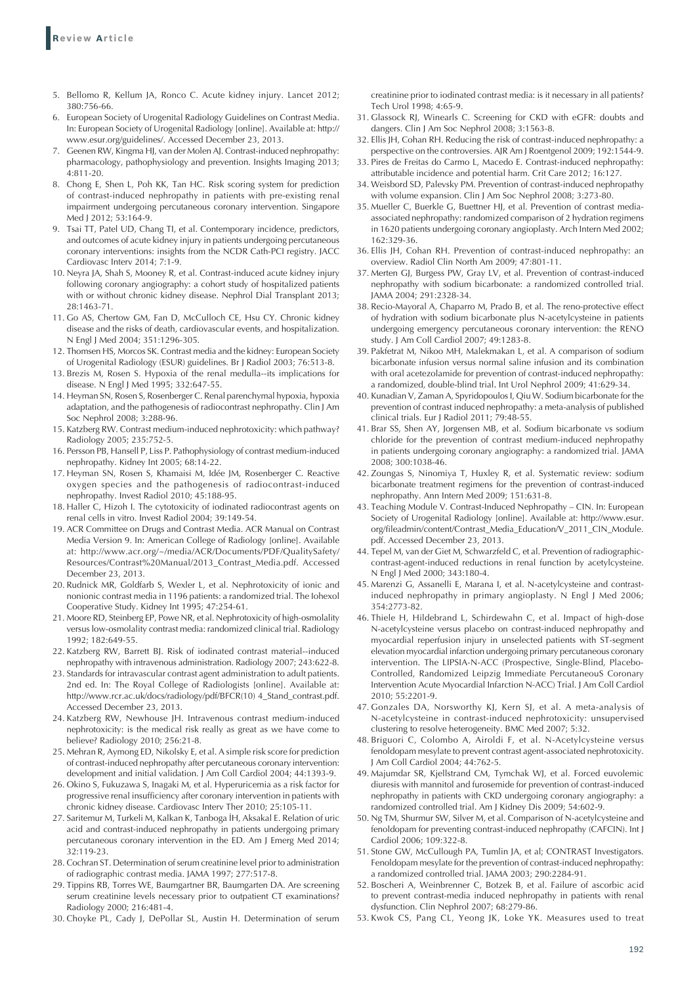- 5. Bellomo R, Kellum JA, Ronco C. Acute kidney injury. Lancet 2012; 380:756-66.
- 6. European Society of Urogenital Radiology Guidelines on Contrast Media. In: European Society of Urogenital Radiology [online]. Available at: http:// www.esur.org/guidelines/. Accessed December 23, 2013.
- 7. Geenen RW, Kingma HJ, van der Molen AJ. Contrast-induced nephropathy: pharmacology, pathophysiology and prevention. Insights Imaging 2013; 4:811-20.
- 8. Chong E, Shen L, Poh KK, Tan HC. Risk scoring system for prediction of contrast-induced nephropathy in patients with pre-existing renal impairment undergoing percutaneous coronary intervention. Singapore Med | 2012: 53:164-9.
- 9. Tsai TT, Patel UD, Chang TI, et al. Contemporary incidence, predictors, and outcomes of acute kidney injury in patients undergoing percutaneous coronary interventions: insights from the NCDR Cath-PCI registry. JACC Cardiovasc Interv 2014; 7:1-9.
- 10. Neyra JA, Shah S, Mooney R, et al. Contrast-induced acute kidney injury following coronary angiography: a cohort study of hospitalized patients with or without chronic kidney disease. Nephrol Dial Transplant 2013; 28:1463-71.
- 11. Go AS, Chertow GM, Fan D, McCulloch CE, Hsu CY. Chronic kidney disease and the risks of death, cardiovascular events, and hospitalization. N Engl J Med 2004; 351:1296-305.
- 12. Thomsen HS, Morcos SK. Contrast media and the kidney: European Society of Urogenital Radiology (ESUR) guidelines. Br J Radiol 2003; 76:513-8.
- 13. Brezis M, Rosen S. Hypoxia of the renal medulla--its implications for disease. N Engl J Med 1995; 332:647-55.
- 14. Heyman SN, Rosen S, Rosenberger C. Renal parenchymal hypoxia, hypoxia adaptation, and the pathogenesis of radiocontrast nephropathy. Clin J Am Soc Nephrol 2008; 3:288-96.
- 15. Katzberg RW. Contrast medium-induced nephrotoxicity: which pathway? Radiology 2005; 235:752-5.
- 16. Persson PB, Hansell P, Liss P. Pathophysiology of contrast medium-induced nephropathy. Kidney Int 2005; 68:14-22.
- 17. Heyman SN, Rosen S, Khamaisi M, Idée JM, Rosenberger C. Reactive oxygen species and the pathogenesis of radiocontrast-induced nephropathy. Invest Radiol 2010; 45:188-95.
- 18. Haller C, Hizoh I. The cytotoxicity of iodinated radiocontrast agents on renal cells in vitro. Invest Radiol 2004; 39:149-54.
- 19. ACR Committee on Drugs and Contrast Media. ACR Manual on Contrast Media Version 9. In: American College of Radiology [online]. Available at: http://www.acr.org/~/media/ACR/Documents/PDF/QualitySafety/ Resources/Contrast%20Manual/2013\_Contrast\_Media.pdf. Accessed December 23, 2013.
- 20. Rudnick MR, Goldfarb S, Wexler L, et al. Nephrotoxicity of ionic and nonionic contrast media in 1196 patients: a randomized trial. The Iohexol Cooperative Study. Kidney Int 1995; 47:254-61.
- 21. Moore RD, Steinberg EP, Powe NR, et al. Nephrotoxicity of high-osmolality versus low-osmolality contrast media: randomized clinical trial. Radiology 1992; 182:649-55.
- 22. Katzberg RW, Barrett BJ. Risk of iodinated contrast material--induced nephropathy with intravenous administration. Radiology 2007; 243:622-8.
- 23. Standards for intravascular contrast agent administration to adult patients. 2nd ed. In: The Royal College of Radiologists [online]. Available at: http://www.rcr.ac.uk/docs/radiology/pdf/BFCR(10) 4\_Stand\_contrast.pdf. Accessed December 23, 2013.
- 24. Katzberg RW, Newhouse JH. Intravenous contrast medium-induced nephrotoxicity: is the medical risk really as great as we have come to believe? Radiology 2010; 256:21-8.
- 25. Mehran R, Aymong ED, Nikolsky E, et al. A simple risk score for prediction of contrast-induced nephropathy after percutaneous coronary intervention: development and initial validation. J Am Coll Cardiol 2004; 44:1393-9.
- 26. Okino S, Fukuzawa S, Inagaki M, et al. Hyperuricemia as a risk factor for progressive renal insufficiency after coronary intervention in patients with chronic kidney disease. Cardiovasc Interv Ther 2010; 25:105-11.
- 27. Saritemur M, Turkeli M, Kalkan K, Tanboga İH, Aksakal E. Relation of uric acid and contrast-induced nephropathy in patients undergoing primary percutaneous coronary intervention in the ED. Am J Emerg Med 2014; 32:119-23.
- 28. Cochran ST. Determination of serum creatinine level prior to administration of radiographic contrast media. JAMA 1997; 277:517-8.
- 29. Tippins RB, Torres WE, Baumgartner BR, Baumgarten DA. Are screening serum creatinine levels necessary prior to outpatient CT examinations? Radiology 2000; 216:481-4.
- 30. Choyke PL, Cady J, DePollar SL, Austin H. Determination of serum

creatinine prior to iodinated contrast media: is it necessary in all patients? Tech Urol 1998; 4:65-9.

- 31. Glassock RJ, Winearls C. Screening for CKD with eGFR: doubts and dangers. Clin J Am Soc Nephrol 2008; 3:1563-8.
- 32. Ellis JH, Cohan RH. Reducing the risk of contrast-induced nephropathy: a perspective on the controversies. AJR Am J Roentgenol 2009; 192:1544-9.
- 33. Pires de Freitas do Carmo L, Macedo E. Contrast-induced nephropathy: attributable incidence and potential harm. Crit Care 2012; 16:127.
- 34. Weisbord SD, Palevsky PM. Prevention of contrast-induced nephropathy with volume expansion. Clin J Am Soc Nephrol 2008; 3:273-80.
- 35. Mueller C, Buerkle G, Buettner HJ, et al. Prevention of contrast mediaassociated nephropathy: randomized comparison of 2 hydration regimens in 1620 patients undergoing coronary angioplasty. Arch Intern Med 2002; 162:329-36.
- 36. Ellis JH, Cohan RH. Prevention of contrast-induced nephropathy: an overview. Radiol Clin North Am 2009; 47:801-11.
- 37. Merten GJ, Burgess PW, Gray LV, et al. Prevention of contrast-induced nephropathy with sodium bicarbonate: a randomized controlled trial. JAMA 2004; 291:2328-34.
- 38. Recio-Mayoral A, Chaparro M, Prado B, et al. The reno-protective effect of hydration with sodium bicarbonate plus N-acetylcysteine in patients undergoing emergency percutaneous coronary intervention: the RENO study. J Am Coll Cardiol 2007; 49:1283-8.
- 39. Pakfetrat M, Nikoo MH, Malekmakan L, et al. A comparison of sodium bicarbonate infusion versus normal saline infusion and its combination with oral acetezolamide for prevention of contrast-induced nephropathy: a randomized, double-blind trial*.* Int Urol Nephrol 2009; 41:629-34.
- 40. Kunadian V, Zaman A, Spyridopoulos I, Qiu W. Sodium bicarbonate for the prevention of contrast induced nephropathy: a meta-analysis of published clinical trials. Eur J Radiol 2011; 79:48-55.
- 41. Brar SS, Shen AY, Jorgensen MB, et al. Sodium bicarbonate vs sodium chloride for the prevention of contrast medium-induced nephropathy in patients undergoing coronary angiography: a randomized trial. JAMA 2008; 300:1038-46.
- 42. Zoungas S, Ninomiya T, Huxley R, et al. Systematic review: sodium bicarbonate treatment regimens for the prevention of contrast-induced nephropathy. Ann Intern Med 2009; 151:631-8.
- 43. Teaching Module V. Contrast-Induced Nephropathy CIN. In: European Society of Urogenital Radiology [online]. Available at: http://www.esur. org/fileadmin/content/Contrast\_Media\_Education/V\_2011\_CIN\_Module. pdf. Accessed December 23, 2013.
- 44. Tepel M, van der Giet M, Schwarzfeld C, et al. Prevention of radiographiccontrast-agent-induced reductions in renal function by acetylcysteine. N Engl J Med 2000; 343:180-4.
- 45. Marenzi G, Assanelli E, Marana I, et al. N-acetylcysteine and contrastinduced nephropathy in primary angioplasty. N Engl J Med 2006; 354:2773-82.
- 46. Thiele H, Hildebrand L, Schirdewahn C, et al. Impact of high-dose N-acetylcysteine versus placebo on contrast-induced nephropathy and myocardial reperfusion injury in unselected patients with ST-segment elevation myocardial infarction undergoing primary percutaneous coronary intervention. The LIPSIA-N-ACC (Prospective, Single-Blind, Placebo-Controlled, Randomized Leipzig Immediate PercutaneouS Coronary Intervention Acute Myocardial Infarction N-ACC) Trial. J Am Coll Cardiol 2010; 55:2201-9.
- 47. Gonzales DA, Norsworthy KJ, Kern SJ, et al. A meta-analysis of N-acetylcysteine in contrast-induced nephrotoxicity: unsupervised clustering to resolve heterogeneity. BMC Med 2007; 5:32.
- 48. Briguori C, Colombo A, Airoldi F, et al. N-Acetylcysteine versus fenoldopam mesylate to prevent contrast agent-associated nephrotoxicity. J Am Coll Cardiol 2004; 44:762-5.
- 49. Majumdar SR, Kjellstrand CM, Tymchak WJ, et al. Forced euvolemic diuresis with mannitol and furosemide for prevention of contrast-induced nephropathy in patients with CKD undergoing coronary angiography: a randomized controlled trial. Am J Kidney Dis 2009; 54:602-9.
- 50. Ng TM, Shurmur SW, Silver M, et al. Comparison of N-acetylcysteine and fenoldopam for preventing contrast-induced nephropathy (CAFCIN). Int J Cardiol 2006; 109:322-8.
- 51. Stone GW, McCullough PA, Tumlin JA, et al; CONTRAST Investigators. Fenoldopam mesylate for the prevention of contrast-induced nephropathy: a randomized controlled trial. JAMA 2003; 290:2284-91.
- 52. Boscheri A, Weinbrenner C, Botzek B, et al. Failure of ascorbic acid to prevent contrast-media induced nephropathy in patients with renal dysfunction. Clin Nephrol 2007; 68:279-86.
- 53. Kwok CS, Pang CL, Yeong JK, Loke YK. Measures used to treat